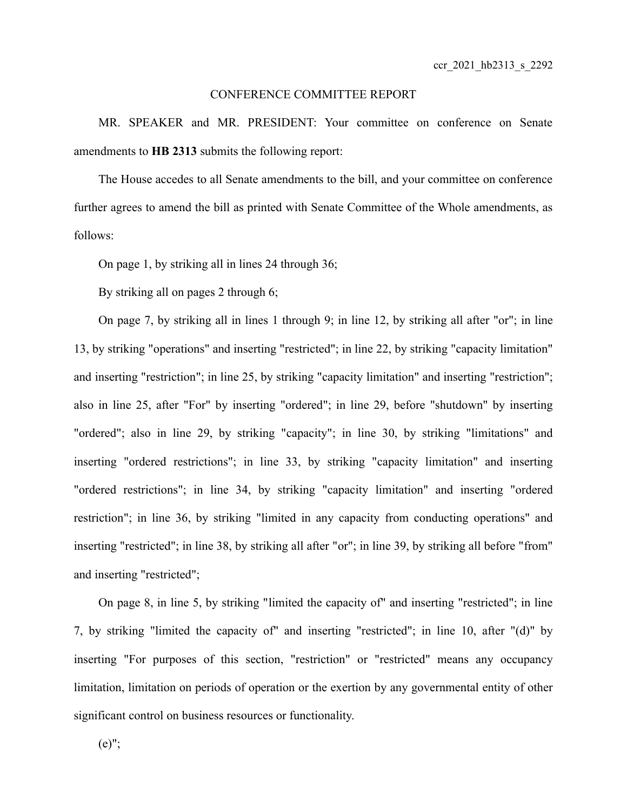## CONFERENCE COMMITTEE REPORT

MR. SPEAKER and MR. PRESIDENT: Your committee on conference on Senate amendments to **HB 2313** submits the following report:

The House accedes to all Senate amendments to the bill, and your committee on conference further agrees to amend the bill as printed with Senate Committee of the Whole amendments, as follows:

On page 1, by striking all in lines 24 through 36;

By striking all on pages 2 through 6;

On page 7, by striking all in lines 1 through 9; in line 12, by striking all after "or"; in line 13, by striking "operations" and inserting "restricted"; in line 22, by striking "capacity limitation" and inserting "restriction"; in line 25, by striking "capacity limitation" and inserting "restriction"; also in line 25, after "For" by inserting "ordered"; in line 29, before "shutdown" by inserting "ordered"; also in line 29, by striking "capacity"; in line 30, by striking "limitations" and inserting "ordered restrictions"; in line 33, by striking "capacity limitation" and inserting "ordered restrictions"; in line 34, by striking "capacity limitation" and inserting "ordered restriction"; in line 36, by striking "limited in any capacity from conducting operations" and inserting "restricted"; in line 38, by striking all after "or"; in line 39, by striking all before "from" and inserting "restricted";

On page 8, in line 5, by striking "limited the capacity of" and inserting "restricted"; in line 7, by striking "limited the capacity of" and inserting "restricted"; in line 10, after "(d)" by inserting "For purposes of this section, "restriction" or "restricted" means any occupancy limitation, limitation on periods of operation or the exertion by any governmental entity of other significant control on business resources or functionality.

 $(e)$ ";